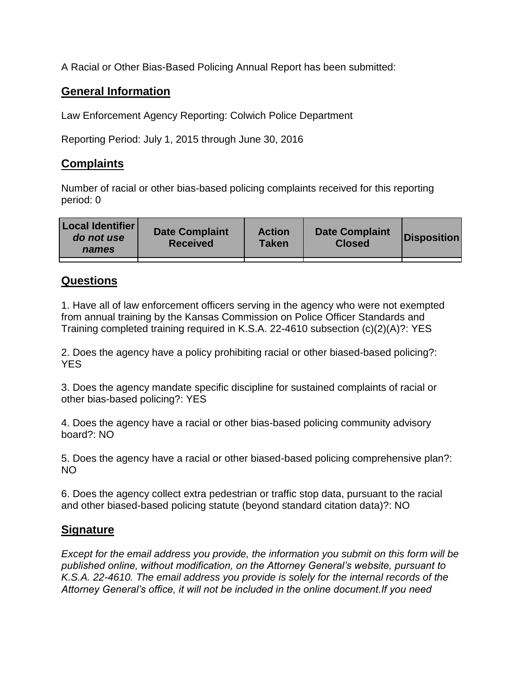A Racial or Other Bias-Based Policing Annual Report has been submitted:

## **General Information**

Law Enforcement Agency Reporting: Colwich Police Department

Reporting Period: July 1, 2015 through June 30, 2016

## **Complaints**

Number of racial or other bias-based policing complaints received for this reporting period: 0

| <b>Local Identifier</b><br>do not use<br>names | <b>Date Complaint</b><br><b>Received</b> | <b>Action</b><br><b>Taken</b> | <b>Date Complaint</b><br><b>Closed</b> | Disposition |
|------------------------------------------------|------------------------------------------|-------------------------------|----------------------------------------|-------------|
|                                                |                                          |                               |                                        |             |

## **Questions**

1. Have all of law enforcement officers serving in the agency who were not exempted from annual training by the Kansas Commission on Police Officer Standards and Training completed training required in K.S.A. 22-4610 subsection (c)(2)(A)?: YES

2. Does the agency have a policy prohibiting racial or other biased-based policing?: YES

3. Does the agency mandate specific discipline for sustained complaints of racial or other bias-based policing?: YES

4. Does the agency have a racial or other bias-based policing community advisory board?: NO

5. Does the agency have a racial or other biased-based policing comprehensive plan?: NO

6. Does the agency collect extra pedestrian or traffic stop data, pursuant to the racial and other biased-based policing statute (beyond standard citation data)?: NO

## **Signature**

*Except for the email address you provide, the information you submit on this form will be published online, without modification, on the Attorney General's website, pursuant to K.S.A. 22-4610. The email address you provide is solely for the internal records of the Attorney General's office, it will not be included in the online document.If you need*